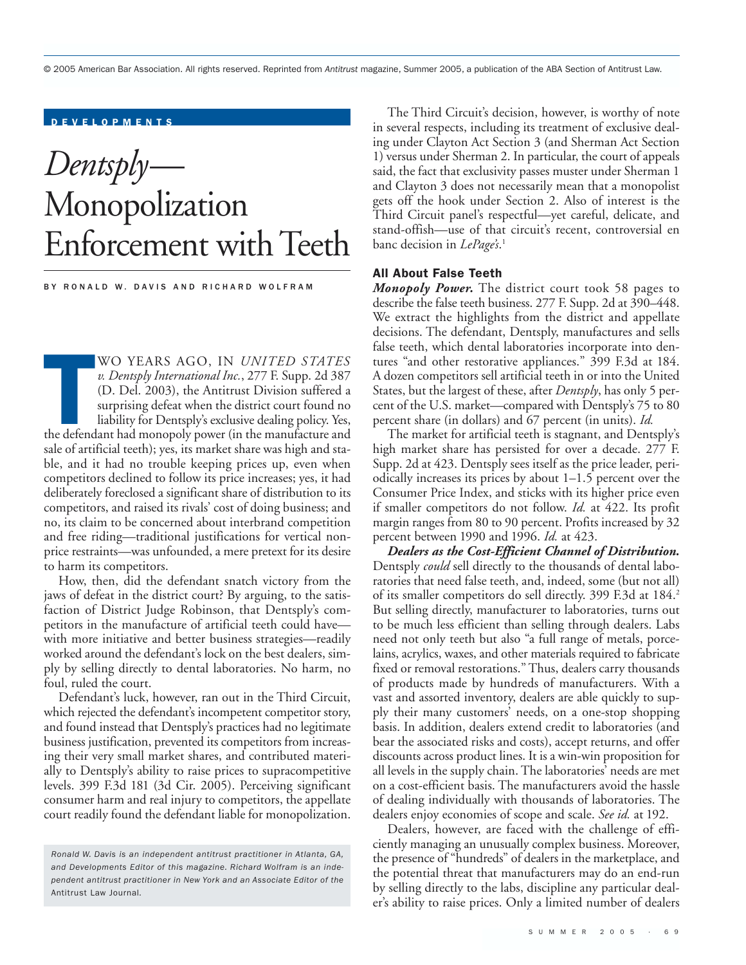© 2005 American Bar Association. All rights reserved. Reprinted from *Antitrust* magazine, Summer 2005, a publication of the ABA Section of Antitrust Law.

# DEVELOPMENTS

# *Dentsply*— Monopolization Enforcement with Teeth

BY RONALD W. DAVIS AND RICHARD WOLFRAM

WO YEARS AGO, IN UNITED STATES<br>
v. Dentsply International Inc., 277 F. Supp. 2d 387<br>
(D. Del. 2003), the Antitrust Division suffered a<br>
surprising defeat when the district court found no<br>
liability for Dentsply's exclusive WO YEARS AGO, IN *UNITED STATES v. Dentsply International Inc.*, 277 F. Supp. 2d 387 (D. Del. 2003), the Antitrust Division suffered a surprising defeat when the district court found no liability for Dentsply's exclusive dealing policy. Yes, sale of artificial teeth); yes, its market share was high and stable, and it had no trouble keeping prices up, even when competitors declined to follow its price increases; yes, it had deliberately foreclosed a significant share of distribution to its competitors, and raised its rivals' cost of doing business; and no, its claim to be concerned about interbrand competition and free riding—traditional justifications for vertical nonprice restraints—was unfounded, a mere pretext for its desire to harm its competitors.

How, then, did the defendant snatch victory from the jaws of defeat in the district court? By arguing, to the satisfaction of District Judge Robinson, that Dentsply's competitors in the manufacture of artificial teeth could have with more initiative and better business strategies—readily worked around the defendant's lock on the best dealers, simply by selling directly to dental laboratories. No harm, no foul, ruled the court.

Defendant's luck, however, ran out in the Third Circuit, which rejected the defendant's incompetent competitor story, and found instead that Dentsply's practices had no legitimate business justification, prevented its competitors from increasing their very small market shares, and contributed materially to Dentsply's ability to raise prices to supracompetitive levels. 399 F.3d 181 (3d Cir. 2005). Perceiving significant consumer harm and real injury to competitors, the appellate court readily found the defendant liable for monopolization.

The Third Circuit's decision, however, is worthy of note in several respects, including its treatment of exclusive dealing under Clayton Act Section 3 (and Sherman Act Section 1) versus under Sherman 2. In particular, the court of appeals said, the fact that exclusivity passes muster under Sherman 1 and Clayton 3 does not necessarily mean that a monopolist gets off the hook under Section 2. Also of interest is the Third Circuit panel's respectful—yet careful, delicate, and stand-offish—use of that circuit's recent, controversial en banc decision in *LePage's*. 1

## All About False Teeth

*Monopoly Power.* The district court took 58 pages to describe the false teeth business. 277 F. Supp. 2d at 390–448. We extract the highlights from the district and appellate decisions. The defendant, Dentsply, manufactures and sells false teeth, which dental laboratories incorporate into dentures "and other restorative appliances." 399 F.3d at 184. A dozen competitors sell artificial teeth in or into the United States, but the largest of these, after *Dentsply*, has only 5 percent of the U.S. market—compared with Dentsply's 75 to 80 percent share (in dollars) and 67 percent (in units). *Id.*

The market for artificial teeth is stagnant, and Dentsply's high market share has persisted for over a decade. 277 F. Supp. 2d at 423. Dentsply sees itself as the price leader, periodically increases its prices by about 1–1.5 percent over the Consumer Price Index, and sticks with its higher price even if smaller competitors do not follow. *Id.* at 422. Its profit margin ranges from 80 to 90 percent. Profits increased by 32 percent between 1990 and 1996. *Id.* at 423.

*Dealers as the Cost-Efficient Channel of Distribution.* Dentsply *could* sell directly to the thousands of dental laboratories that need false teeth, and, indeed, some (but not all) of its smaller competitors do sell directly. 399 F.3d at 184.<sup>2</sup> But selling directly, manufacturer to laboratories, turns out to be much less efficient than selling through dealers. Labs need not only teeth but also "a full range of metals, porcelains, acrylics, waxes, and other materials required to fabricate fixed or removal restorations." Thus, dealers carry thousands of products made by hundreds of manufacturers. With a vast and assorted inventory, dealers are able quickly to supply their many customers' needs, on a one-stop shopping basis. In addition, dealers extend credit to laboratories (and bear the associated risks and costs), accept returns, and offer discounts across product lines. It is a win-win proposition for all levels in the supply chain. The laboratories' needs are met on a cost-efficient basis. The manufacturers avoid the hassle of dealing individually with thousands of laboratories. The dealers enjoy economies of scope and scale. *See id.* at 192.

Dealers, however, are faced with the challenge of efficiently managing an unusually complex business. Moreover, the presence of "hundreds" of dealers in the marketplace, and the potential threat that manufacturers may do an end-run by selling directly to the labs, discipline any particular dealer's ability to raise prices. Only a limited number of dealers

*Ronald W. Davis is an independent antitrust practitioner in Atlanta, GA, and Developments Editor of this magazine. Richard Wolfram is an independent antitrust practitioner in New York and an Associate Editor of the* Antitrust Law Journal*.*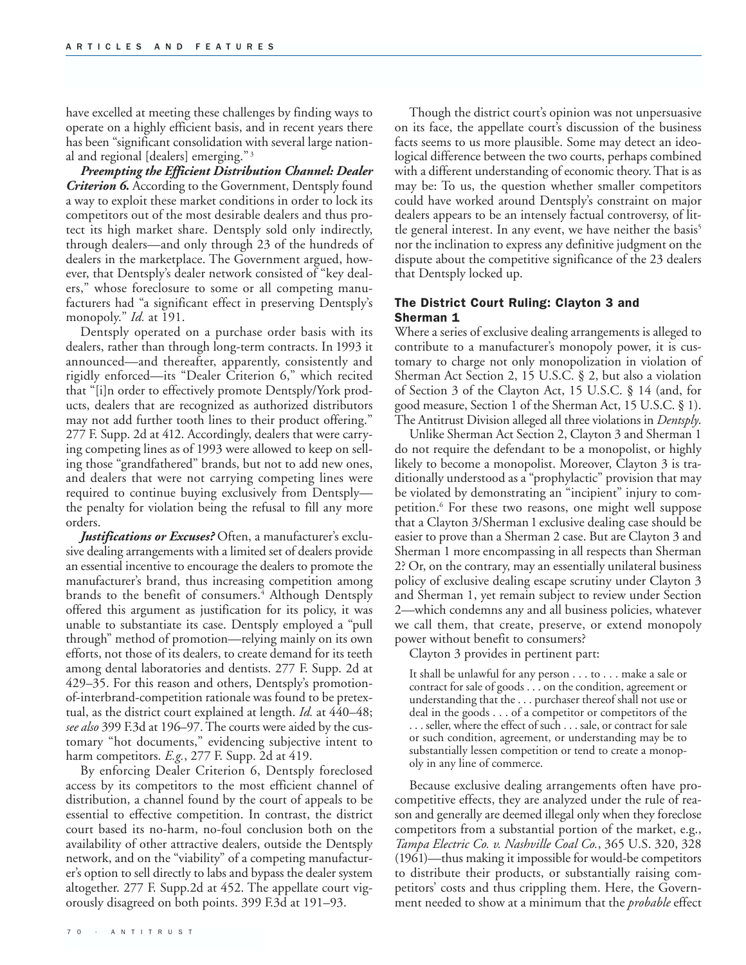have excelled at meeting these challenges by finding ways to operate on a highly efficient basis, and in recent years there has been "significant consolidation with several large national and regional [dealers] emerging."<sup>3</sup>

*Preempting the Efficient Distribution Channel: Dealer Criterion 6.* According to the Government, Dentsply found a way to exploit these market conditions in order to lock its competitors out of the most desirable dealers and thus protect its high market share. Dentsply sold only indirectly, through dealers—and only through 23 of the hundreds of dealers in the marketplace. The Government argued, however, that Dentsply's dealer network consisted of "key dealers," whose foreclosure to some or all competing manufacturers had "a significant effect in preserving Dentsply's monopoly." *Id.* at 191.

Dentsply operated on a purchase order basis with its dealers, rather than through long-term contracts. In 1993 it announced—and thereafter, apparently, consistently and rigidly enforced—its "Dealer Criterion 6," which recited that "[i]n order to effectively promote Dentsply/York products, dealers that are recognized as authorized distributors may not add further tooth lines to their product offering." 277 F. Supp. 2d at 412. Accordingly, dealers that were carrying competing lines as of 1993 were allowed to keep on selling those "grandfathered" brands, but not to add new ones, and dealers that were not carrying competing lines were required to continue buying exclusively from Dentsply the penalty for violation being the refusal to fill any more orders.

*Justifications or Excuses?* Often, a manufacturer's exclusive dealing arrangements with a limited set of dealers provide an essential incentive to encourage the dealers to promote the manufacturer's brand, thus increasing competition among brands to the benefit of consumers.<sup>4</sup> Although Dentsply offered this argument as justification for its policy, it was unable to substantiate its case. Dentsply employed a "pull through" method of promotion—relying mainly on its own efforts, not those of its dealers, to create demand for its teeth among dental laboratories and dentists. 277 F. Supp. 2d at 429–35. For this reason and others, Dentsply's promotionof-interbrand-competition rationale was found to be pretextual, as the district court explained at length. *Id.* at 440–48; *see also* 399 F.3d at 196–97. The courts were aided by the customary "hot documents," evidencing subjective intent to harm competitors. *E.g.*, 277 F. Supp. 2d at 419.

By enforcing Dealer Criterion 6, Dentsply foreclosed access by its competitors to the most efficient channel of distribution, a channel found by the court of appeals to be essential to effective competition. In contrast, the district court based its no-harm, no-foul conclusion both on the availability of other attractive dealers, outside the Dentsply network, and on the "viability" of a competing manufacturer's option to sell directly to labs and bypass the dealer system altogether. 277 F. Supp.2d at 452. The appellate court vigorously disagreed on both points. 399 F.3d at 191–93.

Though the district court's opinion was not unpersuasive on its face, the appellate court's discussion of the business facts seems to us more plausible. Some may detect an ideological difference between the two courts, perhaps combined with a different understanding of economic theory. That is as may be: To us, the question whether smaller competitors could have worked around Dentsply's constraint on major dealers appears to be an intensely factual controversy, of little general interest. In any event, we have neither the basis<sup>5</sup> nor the inclination to express any definitive judgment on the dispute about the competitive significance of the 23 dealers that Dentsply locked up.

## The District Court Ruling: Clayton 3 and Sherman 1

Where a series of exclusive dealing arrangements is alleged to contribute to a manufacturer's monopoly power, it is customary to charge not only monopolization in violation of Sherman Act Section 2, 15 U.S.C. § 2, but also a violation of Section 3 of the Clayton Act, 15 U.S.C. § 14 (and, for good measure, Section 1 of the Sherman Act, 15 U.S.C. § 1). The Antitrust Division alleged all three violations in *Dentsply*.

Unlike Sherman Act Section 2, Clayton 3 and Sherman 1 do not require the defendant to be a monopolist, or highly likely to become a monopolist. Moreover, Clayton 3 is traditionally understood as a "prophylactic" provision that may be violated by demonstrating an "incipient" injury to competition.<sup>6</sup> For these two reasons, one might well suppose that a Clayton 3/Sherman 1 exclusive dealing case should be easier to prove than a Sherman 2 case. But are Clayton 3 and Sherman 1 more encompassing in all respects than Sherman 2? Or, on the contrary, may an essentially unilateral business policy of exclusive dealing escape scrutiny under Clayton 3 and Sherman 1, yet remain subject to review under Section 2—which condemns any and all business policies, whatever we call them, that create, preserve, or extend monopoly power without benefit to consumers?

Clayton 3 provides in pertinent part:

It shall be unlawful for any person . . . to . . . make a sale or contract for sale of goods . . . on the condition, agreement or understanding that the . . . purchaser thereof shall not use or deal in the goods . . . of a competitor or competitors of the . . . seller, where the effect of such . . . sale, or contract for sale or such condition, agreement, or understanding may be to substantially lessen competition or tend to create a monopoly in any line of commerce.

Because exclusive dealing arrangements often have procompetitive effects, they are analyzed under the rule of reason and generally are deemed illegal only when they foreclose competitors from a substantial portion of the market, e.g., *Tampa Electric Co. v. Nashville Coal Co.*, 365 U.S. 320, 328 (1961)—thus making it impossible for would-be competitors to distribute their products, or substantially raising competitors' costs and thus crippling them. Here, the Government needed to show at a minimum that the *probable* effect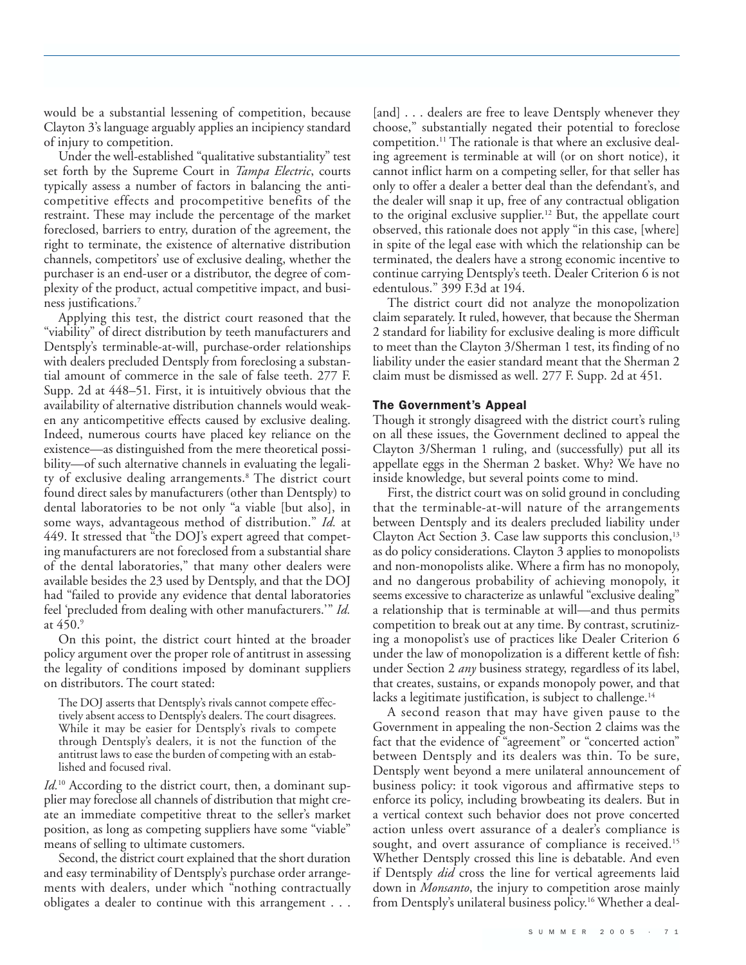would be a substantial lessening of competition, because Clayton 3's language arguably applies an incipiency standard of injury to competition.

Under the well-established "qualitative substantiality" test set forth by the Supreme Court in *Tampa Electric*, courts typically assess a number of factors in balancing the anticompetitive effects and procompetitive benefits of the restraint. These may include the percentage of the market foreclosed, barriers to entry, duration of the agreement, the right to terminate, the existence of alternative distribution channels, competitors' use of exclusive dealing, whether the purchaser is an end-user or a distributor, the degree of complexity of the product, actual competitive impact, and business justifications.7

Applying this test, the district court reasoned that the "viability" of direct distribution by teeth manufacturers and Dentsply's terminable-at-will, purchase-order relationships with dealers precluded Dentsply from foreclosing a substantial amount of commerce in the sale of false teeth. 277 F. Supp. 2d at 448–51. First, it is intuitively obvious that the availability of alternative distribution channels would weaken any anticompetitive effects caused by exclusive dealing. Indeed, numerous courts have placed key reliance on the existence—as distinguished from the mere theoretical possibility—of such alternative channels in evaluating the legality of exclusive dealing arrangements.<sup>8</sup> The district court found direct sales by manufacturers (other than Dentsply) to dental laboratories to be not only "a viable [but also], in some ways, advantageous method of distribution." *Id.* at 449. It stressed that "the DOJ's expert agreed that competing manufacturers are not foreclosed from a substantial share of the dental laboratories," that many other dealers were available besides the 23 used by Dentsply, and that the DOJ had "failed to provide any evidence that dental laboratories feel 'precluded from dealing with other manufacturers.'" *Id.* at 450.9

On this point, the district court hinted at the broader policy argument over the proper role of antitrust in assessing the legality of conditions imposed by dominant suppliers on distributors. The court stated:

The DOJ asserts that Dentsply's rivals cannot compete effectively absent access to Dentsply's dealers. The court disagrees. While it may be easier for Dentsply's rivals to compete through Dentsply's dealers, it is not the function of the antitrust laws to ease the burden of competing with an established and focused rival.

Id.<sup>10</sup> According to the district court, then, a dominant supplier may foreclose all channels of distribution that might create an immediate competitive threat to the seller's market position, as long as competing suppliers have some "viable" means of selling to ultimate customers.

Second, the district court explained that the short duration and easy terminability of Dentsply's purchase order arrangements with dealers, under which "nothing contractually obligates a dealer to continue with this arrangement . . .

[and] . . . dealers are free to leave Dentsply whenever they choose," substantially negated their potential to foreclose competition.11 The rationale is that where an exclusive dealing agreement is terminable at will (or on short notice), it cannot inflict harm on a competing seller, for that seller has only to offer a dealer a better deal than the defendant's, and the dealer will snap it up, free of any contractual obligation to the original exclusive supplier.12 But, the appellate court observed, this rationale does not apply "in this case, [where] in spite of the legal ease with which the relationship can be terminated, the dealers have a strong economic incentive to continue carrying Dentsply's teeth. Dealer Criterion 6 is not edentulous." 399 F.3d at 194.

The district court did not analyze the monopolization claim separately. It ruled, however, that because the Sherman 2 standard for liability for exclusive dealing is more difficult to meet than the Clayton 3/Sherman 1 test, its finding of no liability under the easier standard meant that the Sherman 2 claim must be dismissed as well. 277 F. Supp. 2d at 451.

#### The Government's Appeal

Though it strongly disagreed with the district court's ruling on all these issues, the Government declined to appeal the Clayton 3/Sherman 1 ruling, and (successfully) put all its appellate eggs in the Sherman 2 basket. Why? We have no inside knowledge, but several points come to mind.

First, the district court was on solid ground in concluding that the terminable-at-will nature of the arrangements between Dentsply and its dealers precluded liability under Clayton Act Section 3. Case law supports this conclusion,  $13$ as do policy considerations. Clayton 3 applies to monopolists and non-monopolists alike. Where a firm has no monopoly, and no dangerous probability of achieving monopoly, it seems excessive to characterize as unlawful "exclusive dealing" a relationship that is terminable at will—and thus permits competition to break out at any time. By contrast, scrutinizing a monopolist's use of practices like Dealer Criterion 6 under the law of monopolization is a different kettle of fish: under Section 2 *any* business strategy, regardless of its label, that creates, sustains, or expands monopoly power, and that lacks a legitimate justification, is subject to challenge. $14$ 

A second reason that may have given pause to the Government in appealing the non-Section 2 claims was the fact that the evidence of "agreement" or "concerted action" between Dentsply and its dealers was thin. To be sure, Dentsply went beyond a mere unilateral announcement of business policy: it took vigorous and affirmative steps to enforce its policy, including browbeating its dealers. But in a vertical context such behavior does not prove concerted action unless overt assurance of a dealer's compliance is sought, and overt assurance of compliance is received.<sup>15</sup> Whether Dentsply crossed this line is debatable. And even if Dentsply *did* cross the line for vertical agreements laid down in *Monsanto*, the injury to competition arose mainly from Dentsply's unilateral business policy.16 Whether a deal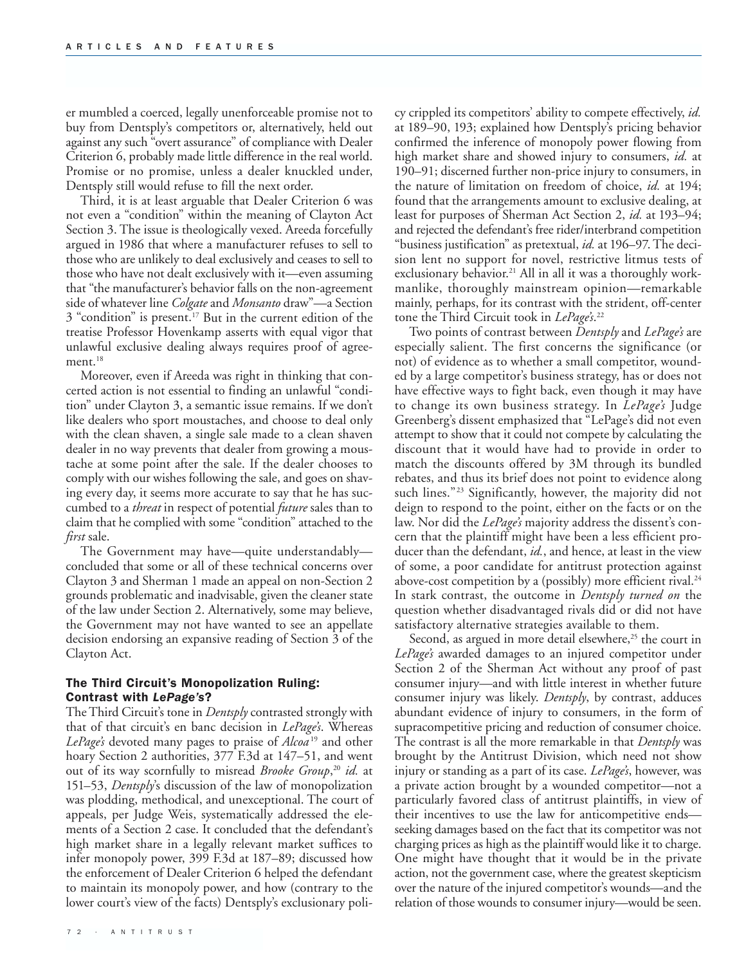er mumbled a coerced, legally unenforceable promise not to buy from Dentsply's competitors or, alternatively, held out against any such "overt assurance" of compliance with Dealer Criterion 6, probably made little difference in the real world. Promise or no promise, unless a dealer knuckled under, Dentsply still would refuse to fill the next order.

Third, it is at least arguable that Dealer Criterion 6 was not even a "condition" within the meaning of Clayton Act Section 3. The issue is theologically vexed. Areeda forcefully argued in 1986 that where a manufacturer refuses to sell to those who are unlikely to deal exclusively and ceases to sell to those who have not dealt exclusively with it—even assuming that "the manufacturer's behavior falls on the non-agreement side of whatever line *Colgate* and *Monsanto* draw"—a Section 3 "condition" is present.<sup>17</sup> But in the current edition of the treatise Professor Hovenkamp asserts with equal vigor that unlawful exclusive dealing always requires proof of agreement.<sup>18</sup>

Moreover, even if Areeda was right in thinking that concerted action is not essential to finding an unlawful "condition" under Clayton 3, a semantic issue remains. If we don't like dealers who sport moustaches, and choose to deal only with the clean shaven, a single sale made to a clean shaven dealer in no way prevents that dealer from growing a moustache at some point after the sale. If the dealer chooses to comply with our wishes following the sale, and goes on shaving every day, it seems more accurate to say that he has succumbed to a *threat* in respect of potential *future* sales than to claim that he complied with some "condition" attached to the *first* sale.

The Government may have—quite understandably concluded that some or all of these technical concerns over Clayton 3 and Sherman 1 made an appeal on non-Section 2 grounds problematic and inadvisable, given the cleaner state of the law under Section 2. Alternatively, some may believe, the Government may not have wanted to see an appellate decision endorsing an expansive reading of Section 3 of the Clayton Act.

# The Third Circuit's Monopolization Ruling: Contrast with *LePage's*?

The Third Circuit's tone in *Dentsply* contrasted strongly with that of that circuit's en banc decision in *LePage's*. Whereas *LePage's* devoted many pages to praise of *Alcoa* <sup>19</sup> and other hoary Section 2 authorities, 377 F.3d at 147–51, and went out of its way scornfully to misread *Brooke Group*, <sup>20</sup> *id.* at 151–53, *Dentsply*'s discussion of the law of monopolization was plodding, methodical, and unexceptional. The court of appeals, per Judge Weis, systematically addressed the elements of a Section 2 case. It concluded that the defendant's high market share in a legally relevant market suffices to infer monopoly power, 399 F.3d at 187–89; discussed how the enforcement of Dealer Criterion 6 helped the defendant to maintain its monopoly power, and how (contrary to the lower court's view of the facts) Dentsply's exclusionary poli-

cy crippled its competitors' ability to compete effectively, *id.* at 189–90, 193; explained how Dentsply's pricing behavior confirmed the inference of monopoly power flowing from high market share and showed injury to consumers, *id.* at 190–91; discerned further non-price injury to consumers, in the nature of limitation on freedom of choice, *id.* at 194; found that the arrangements amount to exclusive dealing, at least for purposes of Sherman Act Section 2, *id.* at 193–94; and rejected the defendant's free rider/interbrand competition "business justification" as pretextual, *id.* at 196–97. The decision lent no support for novel, restrictive litmus tests of exclusionary behavior.<sup>21</sup> All in all it was a thoroughly workmanlike, thoroughly mainstream opinion—remarkable mainly, perhaps, for its contrast with the strident, off-center tone the Third Circuit took in *LePage's*. 22

Two points of contrast between *Dentsply* and *LePage's* are especially salient. The first concerns the significance (or not) of evidence as to whether a small competitor, wounded by a large competitor's business strategy, has or does not have effective ways to fight back, even though it may have to change its own business strategy. In *LePage's* Judge Greenberg's dissent emphasized that "LePage's did not even attempt to show that it could not compete by calculating the discount that it would have had to provide in order to match the discounts offered by 3M through its bundled rebates, and thus its brief does not point to evidence along such lines."<sup>23</sup> Significantly, however, the majority did not deign to respond to the point, either on the facts or on the law. Nor did the *LePage's* majority address the dissent's concern that the plaintiff might have been a less efficient producer than the defendant, *id.*, and hence, at least in the view of some, a poor candidate for antitrust protection against above-cost competition by a (possibly) more efficient rival. $^{24}$ In stark contrast, the outcome in *Dentsply turned on* the question whether disadvantaged rivals did or did not have satisfactory alternative strategies available to them.

Second, as argued in more detail elsewhere,<sup>25</sup> the court in *LePage's* awarded damages to an injured competitor under Section 2 of the Sherman Act without any proof of past consumer injury—and with little interest in whether future consumer injury was likely. *Dentsply*, by contrast, adduces abundant evidence of injury to consumers, in the form of supracompetitive pricing and reduction of consumer choice. The contrast is all the more remarkable in that *Dentsply* was brought by the Antitrust Division, which need not show injury or standing as a part of its case. *LePage's*, however, was a private action brought by a wounded competitor—not a particularly favored class of antitrust plaintiffs, in view of their incentives to use the law for anticompetitive ends seeking damages based on the fact that its competitor was not charging prices as high as the plaintiff would like it to charge. One might have thought that it would be in the private action, not the government case, where the greatest skepticism over the nature of the injured competitor's wounds—and the relation of those wounds to consumer injury—would be seen.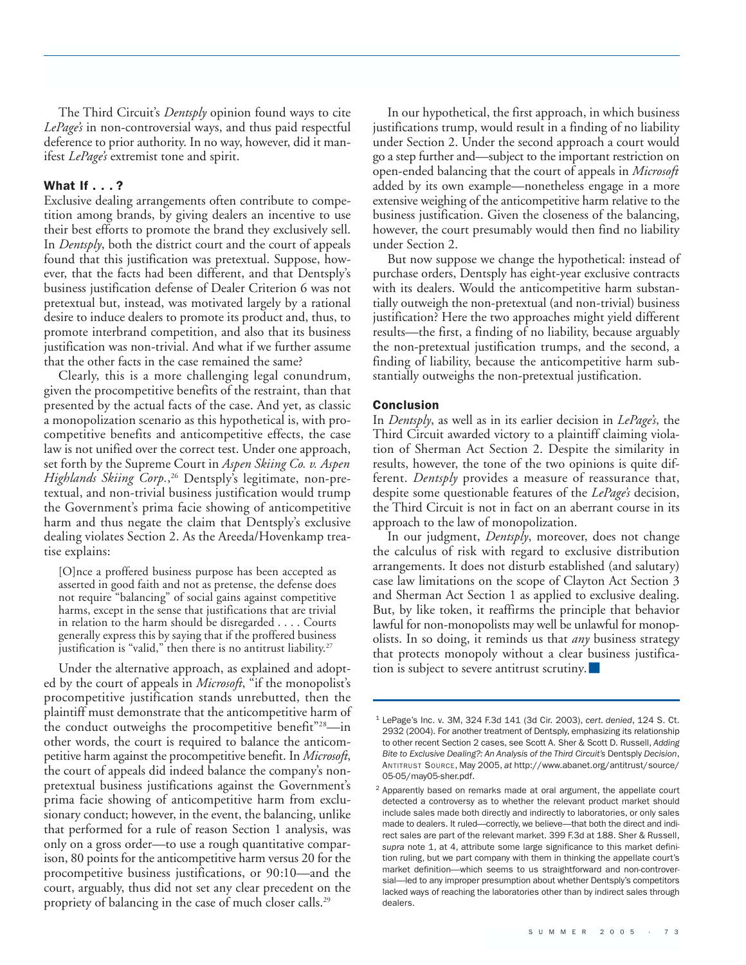The Third Circuit's *Dentsply* opinion found ways to cite *LePage's* in non-controversial ways, and thus paid respectful deference to prior authority. In no way, however, did it manifest *LePage's* extremist tone and spirit.

#### What If . . . ?

Exclusive dealing arrangements often contribute to competition among brands, by giving dealers an incentive to use their best efforts to promote the brand they exclusively sell. In *Dentsply*, both the district court and the court of appeals found that this justification was pretextual. Suppose, however, that the facts had been different, and that Dentsply's business justification defense of Dealer Criterion 6 was not pretextual but, instead, was motivated largely by a rational desire to induce dealers to promote its product and, thus, to promote interbrand competition, and also that its business justification was non-trivial. And what if we further assume that the other facts in the case remained the same?

Clearly, this is a more challenging legal conundrum, given the procompetitive benefits of the restraint, than that presented by the actual facts of the case. And yet, as classic a monopolization scenario as this hypothetical is, with procompetitive benefits and anticompetitive effects, the case law is not unified over the correct test. Under one approach, set forth by the Supreme Court in *Aspen Skiing Co. v. Aspen Highlands Skiing Corp.*, <sup>26</sup> Dentsply's legitimate, non-pretextual, and non-trivial business justification would trump the Government's prima facie showing of anticompetitive harm and thus negate the claim that Dentsply's exclusive dealing violates Section 2. As the Areeda/Hovenkamp treatise explains:

[O]nce a proffered business purpose has been accepted as asserted in good faith and not as pretense, the defense does not require "balancing" of social gains against competitive harms, except in the sense that justifications that are trivial in relation to the harm should be disregarded . . . . Courts generally express this by saying that if the proffered business justification is "valid," then there is no antitrust liability.<sup>27</sup>

Under the alternative approach, as explained and adopted by the court of appeals in *Microsoft*, "if the monopolist's procompetitive justification stands unrebutted, then the plaintiff must demonstrate that the anticompetitive harm of the conduct outweighs the procompetitive benefit"28—in other words, the court is required to balance the anticompetitive harm against the procompetitive benefit. In *Microsoft*, the court of appeals did indeed balance the company's nonpretextual business justifications against the Government's prima facie showing of anticompetitive harm from exclusionary conduct; however, in the event, the balancing, unlike that performed for a rule of reason Section 1 analysis, was only on a gross order—to use a rough quantitative comparison, 80 points for the anticompetitive harm versus 20 for the procompetitive business justifications, or 90:10—and the court, arguably, thus did not set any clear precedent on the propriety of balancing in the case of much closer calls.<sup>29</sup>

In our hypothetical, the first approach, in which business justifications trump, would result in a finding of no liability under Section 2. Under the second approach a court would go a step further and—subject to the important restriction on open-ended balancing that the court of appeals in *Microsoft* added by its own example—nonetheless engage in a more extensive weighing of the anticompetitive harm relative to the business justification. Given the closeness of the balancing, however, the court presumably would then find no liability under Section 2.

But now suppose we change the hypothetical: instead of purchase orders, Dentsply has eight-year exclusive contracts with its dealers. Would the anticompetitive harm substantially outweigh the non-pretextual (and non-trivial) business justification? Here the two approaches might yield different results—the first, a finding of no liability, because arguably the non-pretextual justification trumps, and the second, a finding of liability, because the anticompetitive harm substantially outweighs the non-pretextual justification.

#### Conclusion

In *Dentsply*, as well as in its earlier decision in *LePage's*, the Third Circuit awarded victory to a plaintiff claiming violation of Sherman Act Section 2. Despite the similarity in results, however, the tone of the two opinions is quite different. *Dentsply* provides a measure of reassurance that, despite some questionable features of the *LePage's* decision, the Third Circuit is not in fact on an aberrant course in its approach to the law of monopolization.

In our judgment, *Dentsply*, moreover, does not change the calculus of risk with regard to exclusive distribution arrangements. It does not disturb established (and salutary) case law limitations on the scope of Clayton Act Section 3 and Sherman Act Section 1 as applied to exclusive dealing. But, by like token, it reaffirms the principle that behavior lawful for non-monopolists may well be unlawful for monopolists. In so doing, it reminds us that *any* business strategy that protects monopoly without a clear business justification is subject to severe antitrust scrutiny.

<sup>1</sup> LePage's Inc. v. 3M, 324 F.3d 141 (3d Cir. 2003), *cert. denied*, 124 S. Ct. 2932 (2004). For another treatment of Dentsply, emphasizing its relationship to other recent Section 2 cases, see Scott A. Sher & Scott D. Russell, *Adding Bite to Exclusive Dealing?: An Analysis of the Third Circuit's* Dentsply *Decision*, ANTITRUST SOURCE, May 2005, *at* http://www.abanet.org/antitrust/source/ 05-05/may05-sher.pdf.

<sup>2</sup> Apparently based on remarks made at oral argument, the appellate court detected a controversy as to whether the relevant product market should include sales made both directly and indirectly to laboratories, or only sales made to dealers. It ruled—correctly, we believe—that both the direct and indirect sales are part of the relevant market. 399 F.3d at 188. Sher & Russell, *supra* note 1, at 4, attribute some large significance to this market definition ruling, but we part company with them in thinking the appellate court's market definition—which seems to us straightforward and non-controversial—led to any improper presumption about whether Dentsply's competitors lacked ways of reaching the laboratories other than by indirect sales through dealers.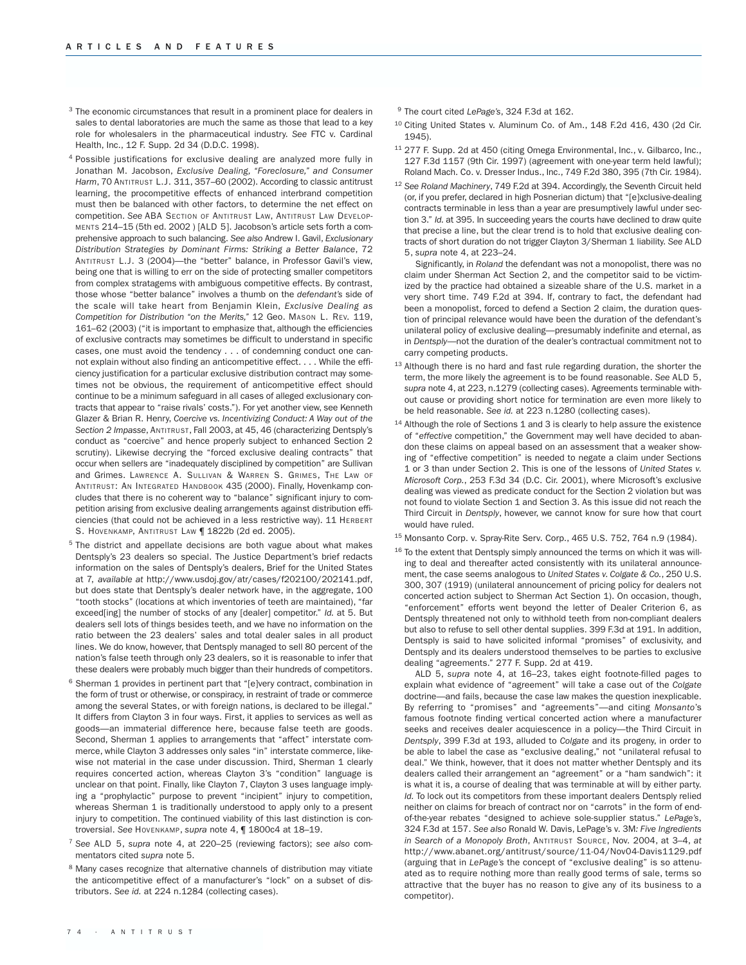- <sup>3</sup> The economic circumstances that result in a prominent place for dealers in sales to dental laboratories are much the same as those that lead to a key role for wholesalers in the pharmaceutical industry. *See* FTC v. Cardinal Health, Inc., 12 F. Supp. 2d 34 (D.D.C. 1998).
- <sup>4</sup> Possible justifications for exclusive dealing are analyzed more fully in Jonathan M. Jacobson, *Exclusive Dealing, "Foreclosure," and Consumer Harm*, 70 ANTITRUST L.J. 311, 357–60 (2002). According to classic antitrust learning, the procompetitive effects of enhanced interbrand competition must then be balanced with other factors, to determine the net effect on competition. *See* ABA SECTION OF ANTITRUST LAW, ANTITRUST LAW DEVELOP-MENTS 214–15 (5th ed. 2002 ) [ALD 5]. Jacobson's article sets forth a comprehensive approach to such balancing. *See also* Andrew I. Gavil, *Exclusionary Distribution Strategies by Dominant Firms: Striking a Better Balance*, 72 ANTITRUST L.J. 3 (2004)—the "better" balance, in Professor Gavil's view, being one that is willing to err on the side of protecting smaller competitors from complex stratagems with ambiguous competitive effects. By contrast, those whose "better balance" involves a thumb on the *defendant's* side of the scale will take heart from Benjamin Klein, *Exclusive Dealing as Competition for Distribution "on the Merits,"* 12 Geo. MASON L. REV. 119, 161–62 (2003) ("it is important to emphasize that, although the efficiencies of exclusive contracts may sometimes be difficult to understand in specific cases, one must avoid the tendency . . . of condemning conduct one cannot explain without also finding an anticompetitive effect. . . . While the efficiency justification for a particular exclusive distribution contract may sometimes not be obvious, the requirement of anticompetitive effect should continue to be a minimum safeguard in all cases of alleged exclusionary contracts that appear to "raise rivals' costs."). For yet another view, see Kenneth Glazer & Brian R. Henry, *Coercive vs. Incentivizing Conduct: A Way out of the Section 2 Impasse*, ANTITRUST, Fall 2003, at 45, 46 (characterizing Dentsply's conduct as "coercive" and hence properly subject to enhanced Section 2 scrutiny). Likewise decrying the "forced exclusive dealing contracts" that occur when sellers are "inadequately disciplined by competition" are Sullivan and Grimes. LAWRENCE A. SULLIVAN & WARREN S. GRIMES, THE LAW OF ANTITRUST: AN INTEGRATED HANDBOOK 435 (2000). Finally, Hovenkamp concludes that there is no coherent way to "balance" significant injury to competition arising from exclusive dealing arrangements against distribution efficiencies (that could not be achieved in a less restrictive way). 11 HERBERT S. HOVENKAMP, ANTITRUST LAW | 1822b (2d ed. 2005).
- <sup>5</sup> The district and appellate decisions are both vague about what makes Dentsply's 23 dealers so special. The Justice Department's brief redacts information on the sales of Dentsply's dealers, Brief for the United States at 7, *available at* http://www.usdoj.gov/atr/cases/f202100/202141.pdf, but does state that Dentsply's dealer network have, in the aggregate, 100 "tooth stocks" (locations at which inventories of teeth are maintained), "far exceed[ing] the number of stocks of any [dealer] competitor." *Id.* at 5. But dealers sell lots of things besides teeth, and we have no information on the ratio between the 23 dealers' sales and total dealer sales in all product lines. We do know, however, that Dentsply managed to sell 80 percent of the nation's false teeth through only 23 dealers, so it is reasonable to infer that these dealers were probably much bigger than their hundreds of competitors.
- <sup>6</sup> Sherman 1 provides in pertinent part that "[e]very contract, combination in the form of trust or otherwise, or conspiracy, in restraint of trade or commerce among the several States, or with foreign nations, is declared to be illegal." It differs from Clayton 3 in four ways. First, it applies to services as well as goods—an immaterial difference here, because false teeth are goods. Second, Sherman 1 applies to arrangements that "affect" interstate commerce, while Clayton 3 addresses only sales "in" interstate commerce, likewise not material in the case under discussion. Third, Sherman 1 clearly requires concerted action, whereas Clayton 3's "condition" language is unclear on that point. Finally, like Clayton 7, Clayton 3 uses language implying a "prophylactic" purpose to prevent "incipient" injury to competition, whereas Sherman 1 is traditionally understood to apply only to a present injury to competition. The continued viability of this last distinction is controversial. *See* HOVENKAMP, *supra* note 4, ¶ 1800c4 at 18–19.
- <sup>7</sup> *See* ALD 5, *supra* note 4, at 220–25 (reviewing factors); *see also* commentators cited *supra* note 5.
- <sup>8</sup> Many cases recognize that alternative channels of distribution may vitiate the anticompetitive effect of a manufacturer's "lock" on a subset of distributors. *See id.* at 224 n.1284 (collecting cases).
- <sup>9</sup> The court cited *LePage's*, 324 F.3d at 162.
- <sup>10</sup> Citing United States v. Aluminum Co. of Am., 148 F.2d 416, 430 (2d Cir. 1945).
- <sup>11</sup> 277 F. Supp. 2d at 450 (citing Omega Environmental, Inc., v. Gilbarco, Inc., 127 F.3d 1157 (9th Cir. 1997) (agreement with one-year term held lawful); Roland Mach. Co. v. Dresser Indus., Inc., 749 F.2d 380, 395 (7th Cir. 1984).
- <sup>12</sup> *See Roland Machinery*, 749 F.2d at 394. Accordingly, the Seventh Circuit held (or, if you prefer, declared in high Posnerian dictum) that "[e]xclusive-dealing contracts terminable in less than a year are presumptively lawful under section 3." *Id.* at 395. In succeeding years the courts have declined to draw quite that precise a line, but the clear trend is to hold that exclusive dealing contracts of short duration do not trigger Clayton 3/Sherman 1 liability. *See* ALD 5, *supra* note 4, at 223–24.

Significantly, in *Roland* the defendant was not a monopolist, there was no claim under Sherman Act Section 2, and the competitor said to be victimized by the practice had obtained a sizeable share of the U.S. market in a very short time. 749 F.2d at 394. If, contrary to fact, the defendant had been a monopolist, forced to defend a Section 2 claim, the duration question of principal relevance would have been the duration of the defendant's unilateral policy of exclusive dealing—presumably indefinite and eternal, as in *Dentsply*—not the duration of the dealer's contractual commitment not to carry competing products.

- <sup>13</sup> Although there is no hard and fast rule regarding duration, the shorter the term, the more likely the agreement is to be found reasonable. *See* ALD 5, *supra* note 4, at 223, n.1279 (collecting cases). Agreements terminable without cause or providing short notice for termination are even more likely to be held reasonable. *See id.* at 223 n.1280 (collecting cases).
- <sup>14</sup> Although the role of Sections 1 and 3 is clearly to help assure the existence of "*effective* competition," the Government may well have decided to abandon these claims on appeal based on an assessment that a weaker showing of "effective competition" is needed to negate a claim under Sections 1 or 3 than under Section 2. This is one of the lessons of *United States v. Microsoft Corp.*, 253 F.3d 34 (D.C. Cir. 2001), where Microsoft's exclusive dealing was viewed as predicate conduct for the Section 2 violation but was not found to violate Section 1 and Section 3. As this issue did not reach the Third Circuit in *Dentsply*, however, we cannot know for sure how that court would have ruled.
- <sup>15</sup> Monsanto Corp. v. Spray-Rite Serv. Corp., 465 U.S. 752, 764 n.9 (1984).
- $16$  To the extent that Dentsply simply announced the terms on which it was willing to deal and thereafter acted consistently with its unilateral announcement, the case seems analogous to *United States v. Colgate & Co.*, 250 U.S. 300, 307 (1919) (unilateral announcement of pricing policy for dealers not concerted action subject to Sherman Act Section 1). On occasion, though, "enforcement" efforts went beyond the letter of Dealer Criterion 6, as Dentsply threatened not only to withhold teeth from non-compliant dealers but also to refuse to sell other dental supplies. 399 F.3d at 191. In addition, Dentsply is said to have solicited informal "promises" of exclusivity, and Dentsply and its dealers understood themselves to be parties to exclusive dealing "agreements." 277 F. Supp. 2d at 419.

ALD 5, *supra* note 4, at 16–23, takes eight footnote-filled pages to explain what evidence of "agreement" will take a case out of the *Colgate* doctrine—and fails, because the case law makes the question inexplicable. By referring to "promises" and "agreements"—and citing *Monsanto*'s famous footnote finding vertical concerted action where a manufacturer seeks and receives dealer acquiescence in a policy—the Third Circuit in *Dentsply*, 399 F.3d at 193, alluded to *Colgate* and its progeny, in order to be able to label the case as "exclusive dealing," not "unilateral refusal to deal." We think, however, that it does not matter whether Dentsply and its dealers called their arrangement an "agreement" or a "ham sandwich": it is what it is, a course of dealing that was terminable at will by either party. *Id.* To lock out its competitors from these important dealers Dentsply relied neither on claims for breach of contract nor on "carrots" in the form of endof-the-year rebates "designed to achieve sole-supplier status." *LePage's*, 324 F.3d at 157. *See also* Ronald W. Davis, LePage's v. 3M*: Five Ingredients in Search of a Monopoly Broth*, ANTITRUST SOURCE, Nov. 2004, at 3–4, *at* http://www.abanet.org/antitrust/source/11-04/Nov04-Davis1129.pdf (arguing that in *LePage's* the concept of "exclusive dealing" is so attenuated as to require nothing more than really good terms of sale, terms so attractive that the buyer has no reason to give any of its business to a competitor).